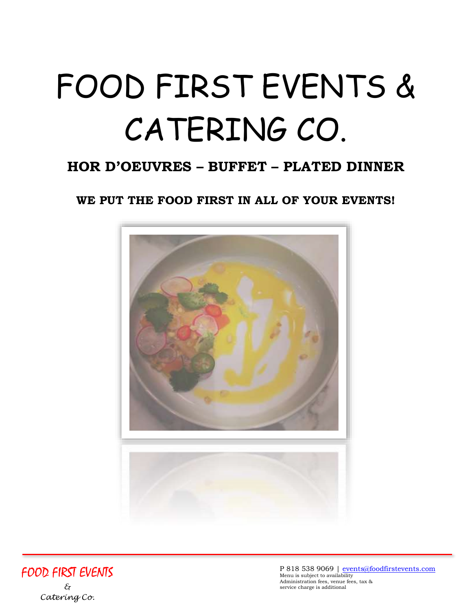# FOOD FIRST EVENTS & CATERING CO.

## **HOR D'OEUVRES – BUFFET – PLATED DINNER**

**WE PUT THE FOOD FIRST IN ALL OF YOUR EVENTS!**



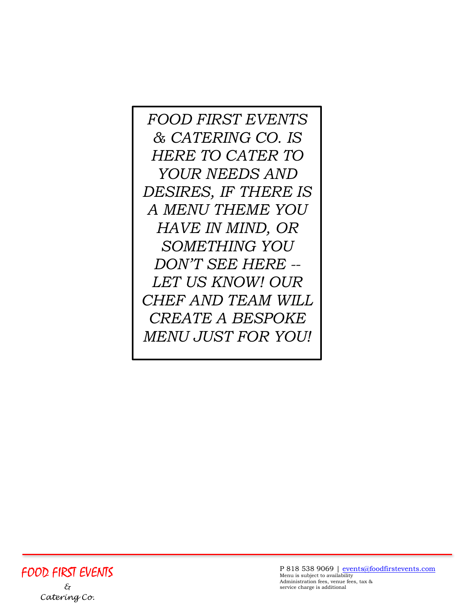*FOOD FIRST EVENTS & CATERING CO. IS HERE TO CATER TO YOUR NEEDS AND DESIRES, IF THERE IS A MENU THEME YOU HAVE IN MIND, OR SOMETHING YOU DON'T SEE HERE -- LET US KNOW! OUR CHEF AND TEAM WILL CREATE A BESPOKE MENU JUST FOR YOU!*

FOOD FIRST EVENTS *& Catering Co.*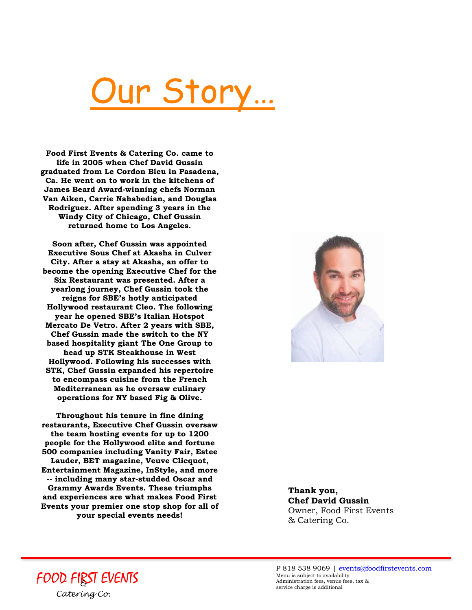# ur Story…

**Food First Events & Catering Co. came to life in 2005 when Chef David Gussin graduated from Le Cordon Bleu in Pasadena, Ca. He went on to work in the kitchens of James Beard Award-winning chefs Norman Van Aiken, Carrie Nahabedian, and Douglas Rodriguez. After spending 3 years in the Windy City of Chicago, Chef Gussin returned home to Los Angeles.**

**Soon after, Chef Gussin was appointed Executive Sous Chef at Akasha in Culver City. After a stay at Akasha, an offer to become the opening Executive Chef for the Six Restaurant was presented. After a yearlong journey, Chef Gussin took the reigns for SBE's hotly anticipated Hollywood restaurant Cleo. The following year he opened SBE's Italian Hotspot Mercato De Vetro. After 2 years with SBE, Chef Gussin made the switch to the NY based hospitality giant The One Group to head up STK Steakhouse in West Hollywood. Following his successes with STK, Chef Gussin expanded his repertoire to encompass cuisine from the French Mediterranean as he oversaw culinary operations for NY based Fig & Olive.**

**Throughout his tenure in fine dining restaurants, Executive Chef Gussin oversaw the team hosting events for up to 1200 people for the Hollywood elite and fortune 500 companies including Vanity Fair, Estee Lauder, BET magazine, Veuve Clicquot, Entertainment Magazine, InStyle, and more -- including many star-studded Oscar and Grammy Awards Events. These triumphs and experiences are what makes Food First Events your premier one stop shop for all of your special events needs!**



**Thank you, Chef David Gussin**  Owner, Food First Events & Catering Co.

FOOD FIRST EVENTS *& Catering Co.*

P 818 538 9069 | [events@foodfirstevents.com](mailto:events@foodfirstevents.com) Menu is subject to availability Administration fees, venue fees, tax & service charge is additional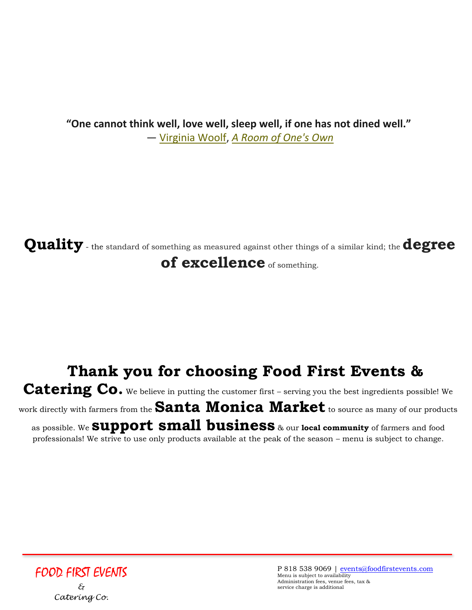**"One cannot think well, love well, sleep well, if one has not dined well."** ― [Virginia Woolf,](http://www.goodreads.com/author/show/6765.Virginia_Woolf) *[A Room of One's Own](http://www.goodreads.com/work/quotes/1315615)*

**Quality** - the standard of something as measured against other things of a similar kind; the **degree of excellence** of something.

# **Thank you for choosing Food First Events &**  Catering Co. We believe in putting the customer first – serving you the best ingredients possible! We

work directly with farmers from the **Santa Monica Market** to source as many of our products as possible. We **support small business** & our **local community** of farmers and food professionals! We strive to use only products available at the peak of the season – menu is subject to change.

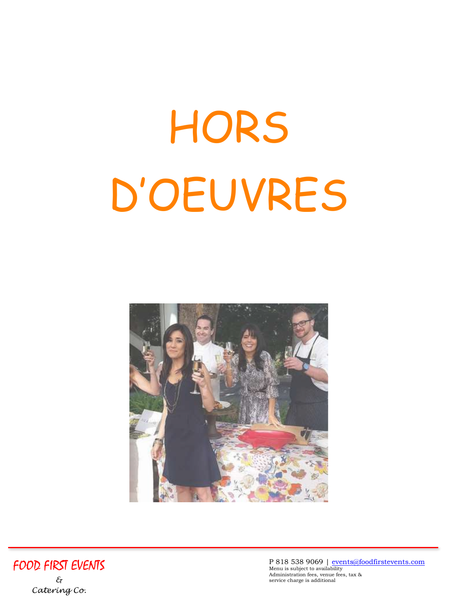# HORS D'OEUVRES





P 818 538 9069 | [events@foodfirstevents.com](mailto:events@foodfirstevents.com) Menu is subject to availability Administration fees, venue fees, tax & service charge is additional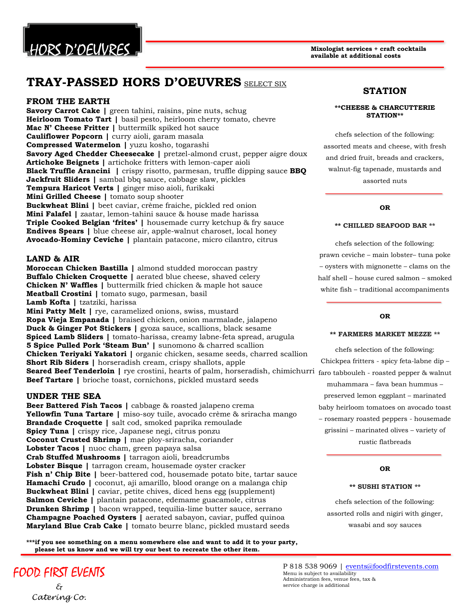

### **TRAY-PASSED HORS D'OEUVRES** SELECT SIX

#### **FROM THE EARTH**

**Savory Carrot Cake |** green tahini, raisins, pine nuts, schug **Heirloom Tomato Tart |** basil pesto, heirloom cherry tomato, chevre **Mac N' Cheese Fritter |** buttermilk spiked hot sauce **Cauliflower Popcorn |** curry aioli, garam masala **Compressed Watermelon |** yuzu kosho, togarashi **Savory Aged Chedder Cheesecake |** pretzel-almond crust, pepper aigre doux **Artichoke Beignets |** artichoke fritters with lemon-caper aioli **Black Truffle Arancini |** crispy risotto, parmesan, truffle dipping sauce **BBQ Jackfruit Sliders |** sambal bbq sauce, cabbage slaw, pickles **Tempura Haricot Verts |** ginger miso aioli, furikaki **Mini Grilled Cheese |** tomato soup shooter **Buckwheat Blini |** beet caviar, crème fraiche, pickled red onion **Mini Falafel |** zaatar, lemon-tahini sauce & house made harissa **Triple Cooked Belgian 'frites' |** housemade curry ketchup & fry sauce **Endives Spears |** blue cheese air, apple-walnut charoset, local honey **Avocado-Hominy Ceviche |** plantain patacone, micro cilantro, citrus

#### **LAND & AIR**

**Moroccan Chicken Bastilla |** almond studded moroccan pastry **Buffalo Chicken Croquette |** aerated blue cheese, shaved celery **Chicken N' Waffles |** buttermilk fried chicken & maple hot sauce **Meatball Crostini |** tomato sugo, parmesan, basil **Lamb Kofta |** tzatziki, harissa

**Mini Patty Melt |** rye, caramelized onions, swiss, mustard **Ropa Vieja Empanada |** braised chicken, onion marmalade, jalapeno **Duck & Ginger Pot Stickers |** gyoza sauce, scallions, black sesame **Spiced Lamb Sliders |** tomato-harissa, creamy labne-feta spread, arugula **5 Spice Pulled Pork 'Steam Bun' |** sunomono & charred scallion **Chicken Teriyaki Yakatori |** organic chicken, sesame seeds, charred scallion **Short Rib Siders |** horseradish cream, crispy shallots, apple **Seared Beef Tenderloin |** rye crostini, hearts of palm, horseradish, chimichurri faro tabbouleh - roasted pepper & walnut **Beef Tartare |** brioche toast, cornichons, pickled mustard seeds

#### **UNDER THE SEA**

**Beer Battered Fish Tacos |** cabbage & roasted jalapeno crema **Yellowfin Tuna Tartare |** miso-soy tuile, avocado crème & sriracha mango **Brandade Croquette |** salt cod, smoked paprika remoulade **Spicy Tuna |** crispy rice, Japanese negi, citrus ponzu **Coconut Crusted Shrimp |** mae ploy-sriracha, coriander **Lobster Tacos |** nuoc cham, green papaya salsa **Crab Stuffed Mushrooms |** tarragon aioli, breadcrumbs **Lobster Bisque |** tarragon cream, housemade oyster cracker **Fish n' Chip Bite |** beer-battered cod, housemade potato bite, tartar sauce **Hamachi Crudo |** coconut, aji amarillo, blood orange on a malanga chip **Buckwheat Blini |** caviar, petite chives, diced hens egg (supplement) **Salmon Ceviche |** plantain patacone, edemame guacamole, citrus **Drunken Shrimp |** bacon wrapped, tequilia-lime butter sauce, serrano **Champagne Poached Oysters |** aerated sabayon, caviar, puffed quinoa **Maryland Blue Crab Cake |** tomato beurre blanc, pickled mustard seeds

**\*\*\*if you see something on a menu somewhere else and want to add it to your party, please let us know and we will try our best to recreate the other item.**

### FOOD FIRST EVENTS *&*

# *Catering Co.*

#### **STATION**

#### **\*\*CHEESE & CHARCUTTERIE STATION\*\***

chefs selection of the following: assorted meats and cheese, with fresh and dried fruit, breads and crackers, walnut-fig tapenade, mustards and assorted nuts

#### **OR**

#### **\*\* CHILLED SEAFOOD BAR \*\***

chefs selection of the following: prawn ceviche – main lobster– tuna poke – oysters with mignonette – clams on the half shell – house cured salmon – smoked white fish – traditional accompaniments

#### **OR**

#### **\*\* FARMERS MARKET MEZZE \*\***

chefs selection of the following: Chickpea fritters - spicy feta-labne dip – muhammara – fava bean hummus – preserved lemon eggplant – marinated baby heirloom tomatoes on avocado toast – rosemary roasted peppers - housemade grissini – marinated olives – variety of rustic flatbreads

#### **OR**

#### **\*\* SUSHI STATION \*\***

chefs selection of the following: assorted rolls and nigiri with ginger, wasabi and soy sauces

P 818 538 9069 | [events@foodfirstevents.com](mailto:events@foodfirstevents.com) Menu is subject to availability Administration fees, venue fees, tax & service charge is additional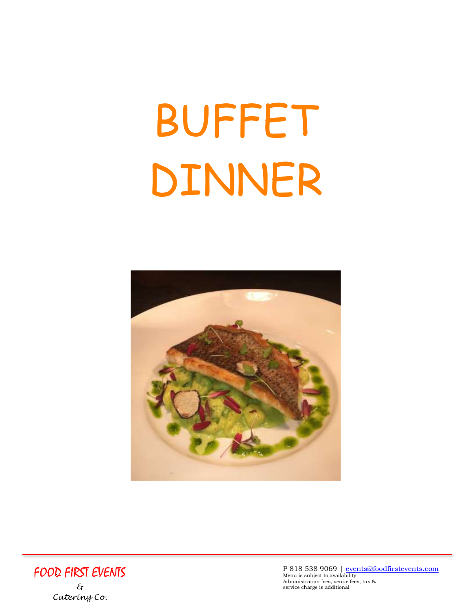# BUFFET DINNER





P 818 538 9069 | [events@foodfirstevents.com](mailto:events@foodfirstevents.com) Menu is subject to availability Administration fees, venue fees, tax & service charge is additional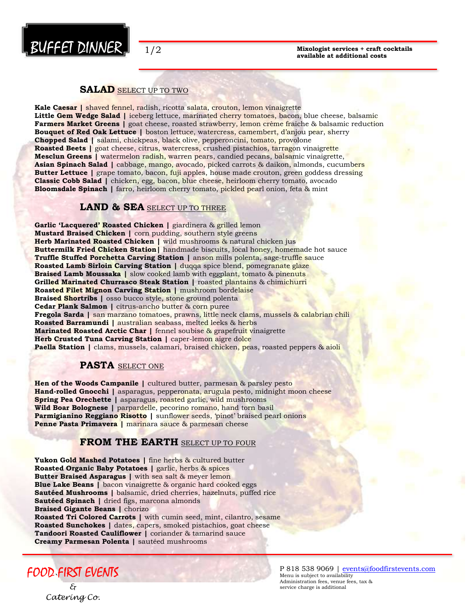

#### **SALAD** SELECT UP TO TWO

**Kale Caesar |** shaved fennel, radish, ricotta salata, crouton, lemon vinaigrette Little Gem Wedge Salad | iceberg lettuce, marinated cherry tomatoes, bacon, blue cheese, balsamic **Farmers Market Greens |** goat cheese, roasted strawberry, lemon crème fraiche & balsamic reduction **Bouquet of Red Oak Lettuce |** boston lettuce, watercress, camembert, d'anjou pear, sherry **Chopped Salad |** salami, chickpeas, black olive, pepperoncini, tomato, provolone **Roasted Beets |** goat cheese, citrus, watercress, crushed pistachios, tarragon vinaigrette **Mesclun Greens |** watermelon radish, warren pears, candied pecans, balsamic vinaigrette, **Asian Spinach Salad |** cabbage, mango, avocado, picked carrots & daikon, almonds, cucumbers **Butter Lettuce** | grape tomato, bacon, fuji apples, house made crouton, green goddess dressing **Classic Cobb Salad |** chicken, egg, bacon, blue cheese, heirloom cherry tomato, avocado **Bloomsdale Spinach |** farro, heirloom cherry tomato, pickled pearl onion, feta & mint

#### **LAND & SEA** SELECT UP TO THREE

**Garlic 'Lacquered' Roasted Chicken |** giardinera & grilled lemon **Mustard Braised Chicken |** corn pudding, southern style greens **Herb Marinated Roasted Chicken |** wild mushrooms & natural chicken jus **Buttermilk Fried Chicken Station|** handmade biscuits, local honey, homemade hot sauce **Truffle Stuffed Porchetta Carving Station |** anson mills polenta, sage-truffle sauce **Roasted Lamb Sirloin Carving Station | duqqa spice blend, pomegranate glaze Braised Lamb Moussaka** | slow cooked lamb with eggplant, tomato & pinenuts **Grilled Marinated Churrasco Steak Station |** roasted plantains & chimichurri **Roasted Filet Mignon Carving Station |** mushroom bordelaise **Braised Shortribs** | osso bucco style, stone ground polenta **Cedar Plank Salmon |** citrus-ancho butter & corn puree **Fregola Sarda |** san marzano tomatoes, prawns, little neck clams, mussels & calabrian chili **Roasted Barramundi |** australian seabass, melted leeks & herbs **Marinated Roasted Arctic Char |** fennel soubise & grapefruit vinaigrette Herb Crusted Tuna Carving Station | caper-lemon aigre dolce **Paella Station** | clams, mussels, calamari, braised chicken, peas, roasted peppers & aioli

#### **PASTA** SELECT ONE

**Hen of the Woods Campanile |** cultured butter, parmesan & parsley pesto **Hand-rolled Gnocchi |** asparagus, pepperonata, arugula pesto, midnight moon cheese **Spring Pea Orechette |** asparagus, roasted garlic, wild mushrooms **Wild Boar Bolognese |** parpardelle, pecorino romano, hand torn basil **Parmigianino Reggiano Risotto |** sunflower seeds, 'pinot' braised pearl onions **Penne Pasta Primavera |** marinara sauce & parmesan cheese

#### **FROM THE EARTH** SELECT UP TO FOUR

**Yukon Gold Mashed Potatoes |** fine herbs & cultured butter **Roasted Organic Baby Potatoes |** garlic, herbs & spices **Butter Braised Asparagus |** with sea salt & meyer lemon **Blue Lake Beans |** bacon vinaigrette & organic hard cooked eggs **Sautéed Mushrooms |** balsamic, dried cherries, hazelnuts, puffed rice **Sautéed Spinach |** dried figs, marcona almonds **Braised Gigante Beans |** chorizo **Roasted Tri Colored Carrots |** with cumin seed, mint, cilantro, sesame

**Roasted Sunchokes |** dates, capers, smoked pistachios, goat cheese **Tandoori Roasted Cauliflower |** coriander & tamarind sauce **Creamy Parmesan Polenta |** sautéed mushrooms

` FOOD FIRST EVENTS

*& Catering Co.* P 818 538 9069 | [events@foodfirstevents.com](mailto:events@foodfirstevents.com) Menu is subject to availability Administration fees, venue fees, tax & service charge is additional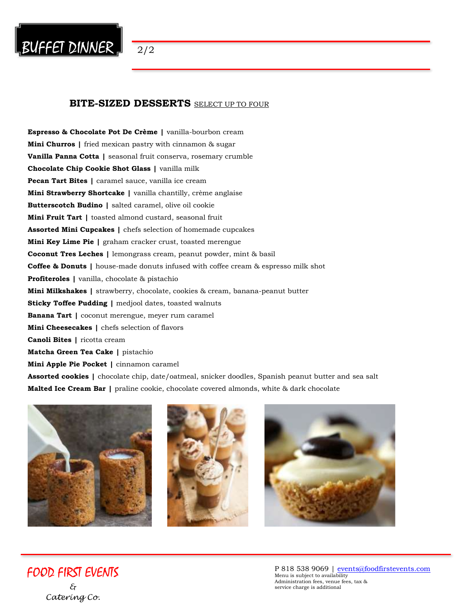

#### **BITE-SIZED DESSERTS** SELECT UP TO FOUR

**Espresso & Chocolate Pot De Crème |** vanilla-bourbon cream **Mini Churros |** fried mexican pastry with cinnamon & sugar **Vanilla Panna Cotta |** seasonal fruit conserva, rosemary crumble **Chocolate Chip Cookie Shot Glass |** vanilla milk **Pecan Tart Bites |** caramel sauce, vanilla ice cream **Mini Strawberry Shortcake |** vanilla chantilly, crème anglaise **Butterscotch Budino |** salted caramel, olive oil cookie **Mini Fruit Tart |** toasted almond custard, seasonal fruit **Assorted Mini Cupcakes |** chefs selection of homemade cupcakes **Mini Key Lime Pie |** graham cracker crust, toasted merengue **Coconut Tres Leches |** lemongrass cream, peanut powder, mint & basil **Coffee & Donuts |** house-made donuts infused with coffee cream & espresso milk shot **Profiteroles |** vanilla, chocolate & pistachio **Mini Milkshakes |** strawberry, chocolate, cookies & cream, banana-peanut butter **Sticky Toffee Pudding |** medjool dates, toasted walnuts **Banana Tart |** coconut merengue, meyer rum caramel **Mini Cheesecakes |** chefs selection of flavors **Canoli Bites |** ricotta cream **Matcha Green Tea Cake |** pistachio **Mini Apple Pie Pocket |** cinnamon caramel **Assorted cookies |** chocolate chip, date/oatmeal, snicker doodles, Spanish peanut butter and sea salt **Malted Ice Cream Bar |** praline cookie, chocolate covered almonds, white & dark chocolate

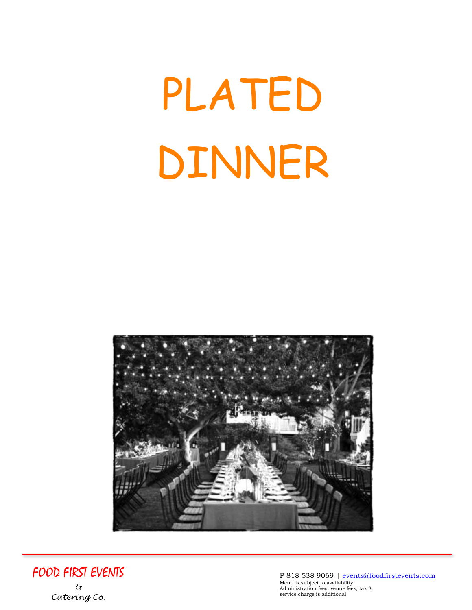# PLATED DINNER





P 818 538 9069 | <u>events@foodfirstevents.com</u><br><sub>Menu is subject to availability</sub> Administration fees, venue fees, tax & service charge is additional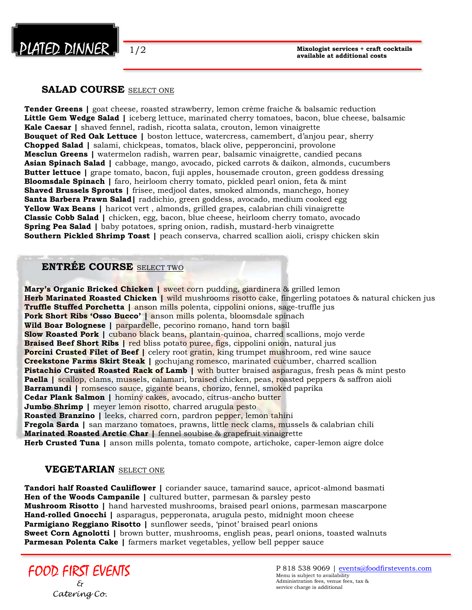

1/2

#### **SALAD COURSE** SELECT ONE

**Tender Greens |** goat cheese, roasted strawberry, lemon crème fraiche & balsamic reduction **Little Gem Wedge Salad |** iceberg lettuce, marinated cherry tomatoes, bacon, blue cheese, balsamic **Kale Caesar |** shaved fennel, radish, ricotta salata, crouton, lemon vinaigrette **Bouquet of Red Oak Lettuce |** boston lettuce, watercress, camembert, d'anjou pear, sherry **Chopped Salad |** salami, chickpeas, tomatos, black olive, pepperoncini, provolone **Mesclun Greens |** watermelon radish, warren pear, balsamic vinaigrette, candied pecans **Asian Spinach Salad |** cabbage, mango, avocado, picked carrots & daikon, almonds, cucumbers **Butter lettuce |** grape tomato, bacon, fuji apples, housemade crouton, green goddess dressing **Bloomsdale Spinach |** faro, heirloom cherry tomato, pickled pearl onion, feta & mint **Shaved Brussels Sprouts |** frisee, medjool dates, smoked almonds, manchego, honey **Santa Barbera Prawn Salad|** raddichio, green goddess, avocado, medium cooked egg **Yellow Wax Beans |** haricot vert , almonds, grilled grapes, calabrian chili vinaigrette **Classic Cobb Salad |** chicken, egg, bacon, blue cheese, heirloom cherry tomato, avocado **Spring Pea Salad |** baby potatoes, spring onion, radish, mustard-herb vinaigrette **Southern Pickled Shrimp Toast |** peach conserva, charred scallion aioli, crispy chicken skin

#### **ENTRÉE COURSE** SELECT TWO

**Mary's Organic Bricked Chicken |** sweet corn pudding, giardinera & grilled lemon **Herb Marinated Roasted Chicken | wild mushrooms risotto cake, fingerling potatoes & natural chicken jus Truffle Stuffed Porchetta |** anson mills polenta, cippolini onions, sage-truffle jus **Pork Short Ribs 'Osso Bucco' | anson mills polenta, bloomsdale spinach Wild Boar Bolognese |** parpardelle, pecorino romano, hand torn basil **Slow Roasted Pork |** cubano black beans, plantain-quinoa, charred scallions, mojo verde **Braised Beef Short Ribs** | red bliss potato puree, figs, cippolini onion, natural jus **Porcini Crusted Filet of Beef |** celery root gratin, king trumpet mushroom, red wine sauce **Creekstone Farms Skirt Steak |** gochujang romesco, marinated cucumber, charred scallion **Pistachio Crusted Roasted Rack of Lamb | with butter braised asparagus, fresh peas & mint pesto Paella** | scallop, clams, mussels, calamari, braised chicken, peas, roasted peppers & saffron aioli **Barramundi |** romsesco sauce, gigante beans, chorizo, fennel, smoked paprika **Cedar Plank Salmon |** hominy cakes, avocado, citrus-ancho butter **Jumbo Shrimp** | meyer lemon risotto, charred arugula pesto **Roasted Branzino |** leeks, charred corn, pardron pepper, lemon tahini **Fregola Sarda |** san marzano tomatoes, prawns, little neck clams, mussels & calabrian chili **Marinated Roasted Arctic Char |** fennel soubise & grapefruit vinaigrette **Herb Crusted Tuna |** anson mills polenta, tomato compote, artichoke, caper-lemon aigre dolce

#### **VEGETARIAN** SELECT ONE

**Tandori half Roasted Cauliflower |** coriander sauce, tamarind sauce, apricot-almond basmati **Hen of the Woods Campanile |** cultured butter, parmesan & parsley pesto **Mushroom Risotto |** hand harvested mushrooms, braised pearl onions, parmesan mascarpone **Hand-rolled Gnocchi |** asparagus, pepperonata, arugula pesto, midnight moon cheese **Parmigiano Reggiano Risotto |** sunflower seeds, 'pinot' braised pearl onions **Sweet Corn Agnolotti |** brown butter, mushrooms, english peas, pearl onions, toasted walnuts **Parmesan Polenta Cake |** farmers market vegetables, yellow bell pepper sauce

FOOD FIRST EVENTS *& Catering Co.*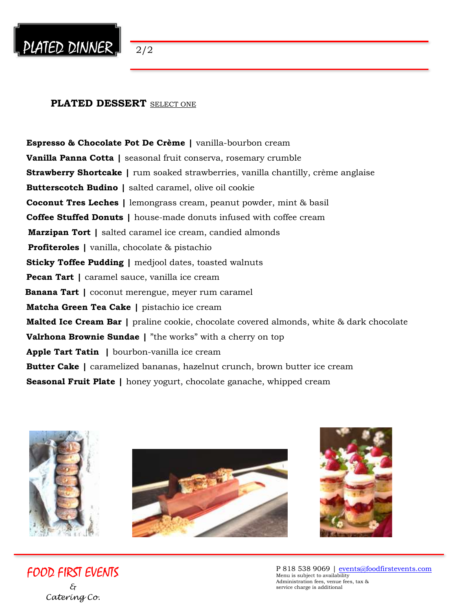

#### **PLATED DESSERT** SELECT ONE

**Espresso & Chocolate Pot De Crème |** vanilla-bourbon cream **Vanilla Panna Cotta |** seasonal fruit conserva, rosemary crumble **Strawberry Shortcake |** rum soaked strawberries, vanilla chantilly, crème anglaise **Butterscotch Budino |** salted caramel, olive oil cookie **Coconut Tres Leches |** lemongrass cream, peanut powder, mint & basil **Coffee Stuffed Donuts |** house-made donuts infused with coffee cream  **Marzipan Tort |** salted caramel ice cream, candied almonds  **Profiteroles |** vanilla, chocolate & pistachio **Sticky Toffee Pudding | medjool dates, toasted walnuts Pecan Tart |** caramel sauce, vanilla ice cream  **Banana Tart |** coconut merengue, meyer rum caramel **Matcha Green Tea Cake |** pistachio ice cream **Malted Ice Cream Bar |** praline cookie, chocolate covered almonds, white & dark chocolate **Valrhona Brownie Sundae |** "the works" with a cherry on top **Apple Tart Tatin |** bourbon-vanilla ice cream **Butter Cake |** caramelized bananas, hazelnut crunch, brown butter ice cream **Seasonal Fruit Plate |** honey yogurt, chocolate ganache, whipped cream







FOOD FIRST EVENTS *& Catering Co.*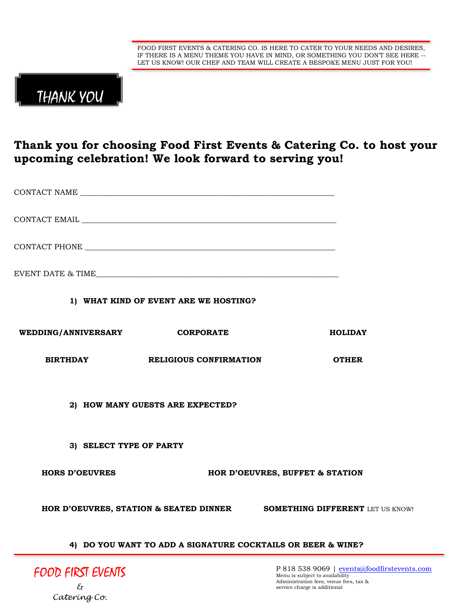

# THANK YOU

*Catering Co.*

### **Thank you for choosing Food First Events & Catering Co. to host your upcoming celebration! We look forward to serving you!**

|                                                             | 1) WHAT KIND OF EVENT ARE WE HOSTING? |                                                                                                                                                          |  |
|-------------------------------------------------------------|---------------------------------------|----------------------------------------------------------------------------------------------------------------------------------------------------------|--|
| WEDDING/ANNIVERSARY CORPORATE                               |                                       | <b>HOLIDAY</b>                                                                                                                                           |  |
| <b>BIRTHDAY</b>                                             | <b>RELIGIOUS CONFIRMATION</b>         | <b>OTHER</b>                                                                                                                                             |  |
|                                                             | 2) HOW MANY GUESTS ARE EXPECTED?      |                                                                                                                                                          |  |
| 3) SELECT TYPE OF PARTY                                     |                                       |                                                                                                                                                          |  |
| <b>HORS D'OEUVRES</b>                                       |                                       | HOR D'OEUVRES, BUFFET & STATION                                                                                                                          |  |
|                                                             |                                       | HOR D'OEUVRES, STATION & SEATED DINNER SOMETHING DIFFERENT LET US KNOW!                                                                                  |  |
| 4) DO YOU WANT TO ADD A SIGNATURE COCKTAILS OR BEER & WINE? |                                       |                                                                                                                                                          |  |
| FOOD FIRST EVENTS<br>$\mathcal{E}_{\!\mathcal{T}}$          |                                       | P 818 538 9069   events@foodfirstevents.com<br>Menu is subject to availability<br>Administration fees, venue fees, tax &<br>service charge is additional |  |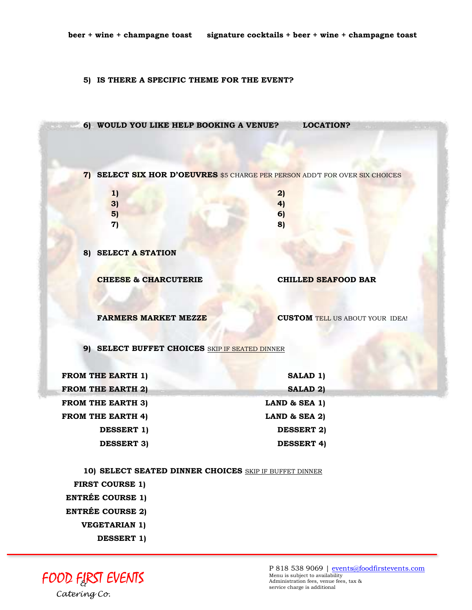#### **5) IS THERE A SPECIFIC THEME FOR THE EVENT?**



 **ENTRÉE COURSE 1)**

 **ENTRÉE COURSE 2)**

 **VEGETARIAN 1)**

 **DESSERT 1)**

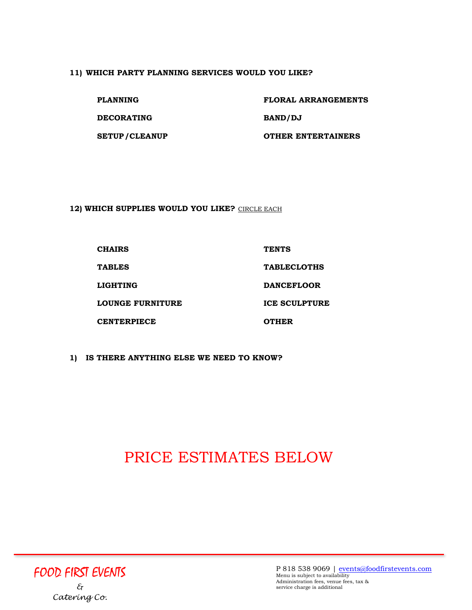#### **11) WHICH PARTY PLANNING SERVICES WOULD YOU LIKE?**

**DECORATING BAND/DJ**

**PLANNING FLORAL ARRANGEMENTS SETUP/CLEANUP OTHER ENTERTAINERS**

**12) WHICH SUPPLIES WOULD YOU LIKE?** CIRCLE EACH

| <b>CHAIRS</b>      | <b>TENTS</b>         |
|--------------------|----------------------|
| <b>TABLES</b>      | <b>TABLECLOTHS</b>   |
| <b>LIGHTING</b>    | <b>DANCEFLOOR</b>    |
| LOUNGE FURNITURE   | <b>ICE SCULPTURE</b> |
| <b>CENTERPIECE</b> | <b>OTHER</b>         |

**1) IS THERE ANYTHING ELSE WE NEED TO KNOW?** 

# PRICE ESTIMATES BELOW

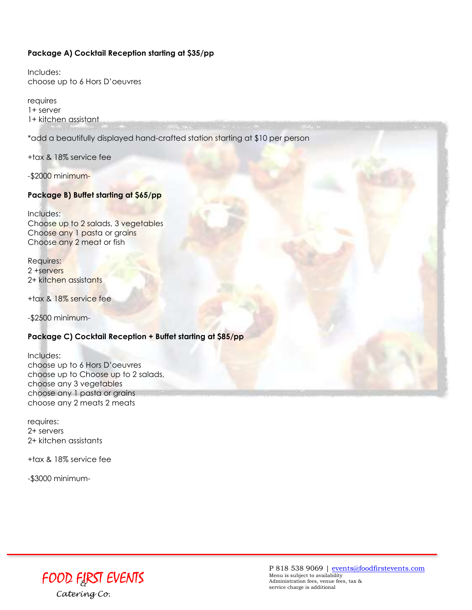#### **Package A) Cocktail Reception starting at \$35/pp**

Includes: choose up to 6 Hors D'oeuvres

requires 1+ server 1+ kitchen assistant

\*add a beautifully displayed hand-crafted station starting at \$10 per person

+tax & 18% service fee

-\$2000 minimum-

#### **Package B) Buffet starting at \$65/pp**

Includes: Choose up to 2 salads, 3 vegetables Choose any 1 pasta or grains Choose any 2 meat or fish

Requires: 2 +servers 2+ kitchen assistants

+tax & 18% service fee

-\$2500 minimum-

#### **Package C) Cocktail Reception + Buffet starting at \$85/pp**

Includes: choose up to 6 Hors D'oeuvres choose up to Choose up to 2 salads, choose any 3 vegetables choose any 1 pasta or grains choose any 2 meats 2 meats

requires: 2+ servers 2+ kitchen assistants

+tax & 18% service fee

-\$3000 minimum-

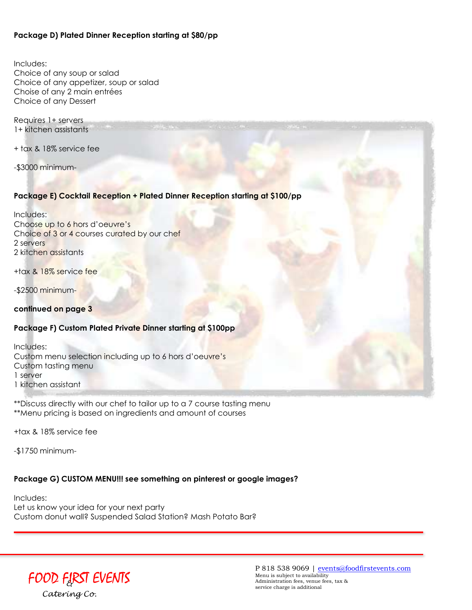#### **Package D) Plated Dinner Reception starting at \$80/pp**

Includes: Choice of any soup or salad Choice of any appetizer, soup or salad Choise of any 2 main entrées Choice of any Dessert

Requires 1+ servers 1+ kitchen assistants

+ tax & 18% service fee

-\$3000 minimum-

#### **Package E) Cocktail Reception + Plated Dinner Reception starting at \$100/pp**

Includes: Choose up to 6 hors d'oeuvre's Choice of 3 or 4 courses curated by our chef 2 servers 2 kitchen assistants

+tax & 18% service fee

-\$2500 minimum-

**continued on page 3**

#### **Package F) Custom Plated Private Dinner starting at \$100pp**

Includes: Custom menu selection including up to 6 hors d'oeuvre's Custom tasting menu 1 server 1 kitchen assistant

\*\*Discuss directly with our chef to tailor up to a 7 course tasting menu \*\*Menu pricing is based on ingredients and amount of courses

+tax & 18% service fee

-\$1750 minimum-

#### **Package G) CUSTOM MENU!!! see something on pinterest or google images?**

Includes: Let us know your idea for your next party Custom donut wall? Suspended Salad Station? Mash Potato Bar?

## FOOD FIR*&* ST EVENTS *Catering Co.*